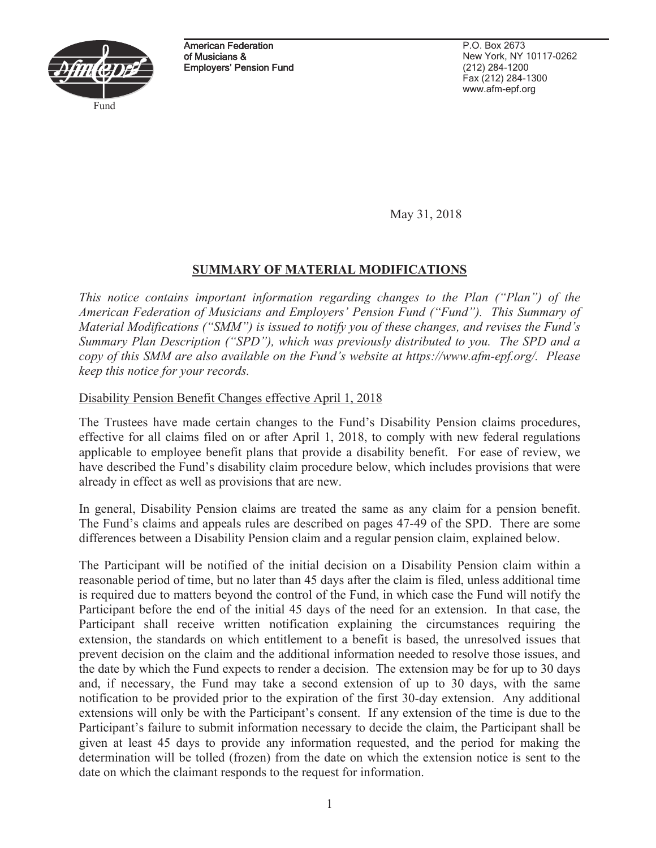

American Federation of Musicians & Employers' Pension Fund

P.O. Box 2673 New York, NY 10117-0262 (212) 284-1200 Fax (212) 284-1300 www.afm-epf.org

May 31, 2018

# **SUMMARY OF MATERIAL MODIFICATIONS**

*This notice contains important information regarding changes to the Plan ("Plan") of the American Federation of Musicians and Employers' Pension Fund ("Fund"). This Summary of Material Modifications ("SMM") is issued to notify you of these changes, and revises the Fund's Summary Plan Description ("SPD"), which was previously distributed to you. The SPD and a copy of this SMM are also available on the Fund's website at https://www.afm-epf.org/. Please keep this notice for your records.* 

## Disability Pension Benefit Changes effective April 1, 2018

The Trustees have made certain changes to the Fund's Disability Pension claims procedures, effective for all claims filed on or after April 1, 2018, to comply with new federal regulations applicable to employee benefit plans that provide a disability benefit. For ease of review, we have described the Fund's disability claim procedure below, which includes provisions that were already in effect as well as provisions that are new.

In general, Disability Pension claims are treated the same as any claim for a pension benefit. The Fund's claims and appeals rules are described on pages 47-49 of the SPD. There are some differences between a Disability Pension claim and a regular pension claim, explained below.

The Participant will be notified of the initial decision on a Disability Pension claim within a reasonable period of time, but no later than 45 days after the claim is filed, unless additional time is required due to matters beyond the control of the Fund, in which case the Fund will notify the Participant before the end of the initial 45 days of the need for an extension. In that case, the Participant shall receive written notification explaining the circumstances requiring the extension, the standards on which entitlement to a benefit is based, the unresolved issues that prevent decision on the claim and the additional information needed to resolve those issues, and the date by which the Fund expects to render a decision. The extension may be for up to 30 days and, if necessary, the Fund may take a second extension of up to 30 days, with the same notification to be provided prior to the expiration of the first 30-day extension. Any additional extensions will only be with the Participant's consent. If any extension of the time is due to the Participant's failure to submit information necessary to decide the claim, the Participant shall be given at least 45 days to provide any information requested, and the period for making the determination will be tolled (frozen) from the date on which the extension notice is sent to the date on which the claimant responds to the request for information.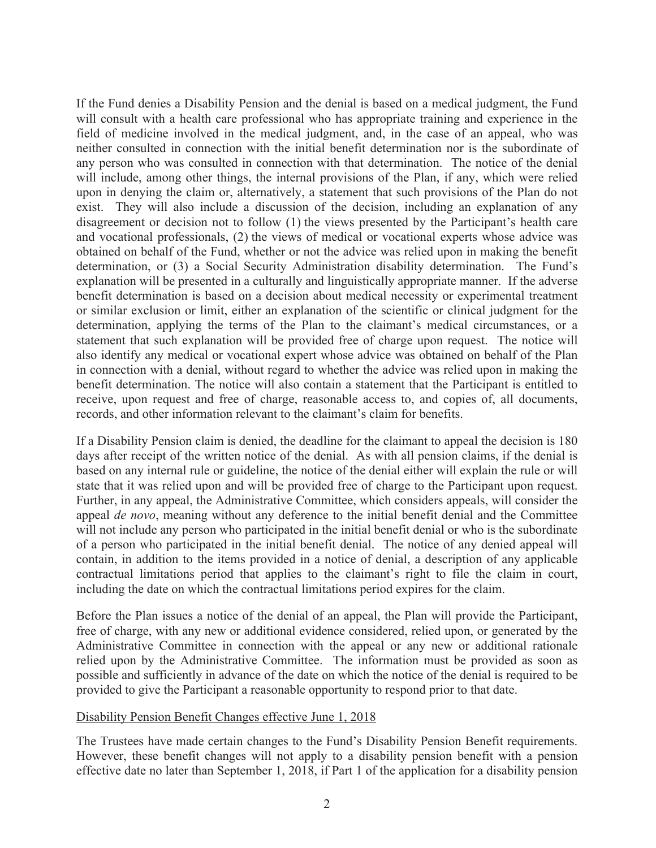If the Fund denies a Disability Pension and the denial is based on a medical judgment, the Fund will consult with a health care professional who has appropriate training and experience in the field of medicine involved in the medical judgment, and, in the case of an appeal, who was neither consulted in connection with the initial benefit determination nor is the subordinate of any person who was consulted in connection with that determination. The notice of the denial will include, among other things, the internal provisions of the Plan, if any, which were relied upon in denying the claim or, alternatively, a statement that such provisions of the Plan do not exist. They will also include a discussion of the decision, including an explanation of any disagreement or decision not to follow (1) the views presented by the Participant's health care and vocational professionals, (2) the views of medical or vocational experts whose advice was obtained on behalf of the Fund, whether or not the advice was relied upon in making the benefit determination, or (3) a Social Security Administration disability determination. The Fund's explanation will be presented in a culturally and linguistically appropriate manner. If the adverse benefit determination is based on a decision about medical necessity or experimental treatment or similar exclusion or limit, either an explanation of the scientific or clinical judgment for the determination, applying the terms of the Plan to the claimant's medical circumstances, or a statement that such explanation will be provided free of charge upon request. The notice will also identify any medical or vocational expert whose advice was obtained on behalf of the Plan in connection with a denial, without regard to whether the advice was relied upon in making the benefit determination. The notice will also contain a statement that the Participant is entitled to receive, upon request and free of charge, reasonable access to, and copies of, all documents, records, and other information relevant to the claimant's claim for benefits.

If a Disability Pension claim is denied, the deadline for the claimant to appeal the decision is 180 days after receipt of the written notice of the denial. As with all pension claims, if the denial is based on any internal rule or guideline, the notice of the denial either will explain the rule or will state that it was relied upon and will be provided free of charge to the Participant upon request. Further, in any appeal, the Administrative Committee, which considers appeals, will consider the appeal *de novo*, meaning without any deference to the initial benefit denial and the Committee will not include any person who participated in the initial benefit denial or who is the subordinate of a person who participated in the initial benefit denial. The notice of any denied appeal will contain, in addition to the items provided in a notice of denial, a description of any applicable contractual limitations period that applies to the claimant's right to file the claim in court, including the date on which the contractual limitations period expires for the claim.

Before the Plan issues a notice of the denial of an appeal, the Plan will provide the Participant, free of charge, with any new or additional evidence considered, relied upon, or generated by the Administrative Committee in connection with the appeal or any new or additional rationale relied upon by the Administrative Committee. The information must be provided as soon as possible and sufficiently in advance of the date on which the notice of the denial is required to be provided to give the Participant a reasonable opportunity to respond prior to that date.

## Disability Pension Benefit Changes effective June 1, 2018

The Trustees have made certain changes to the Fund's Disability Pension Benefit requirements. However, these benefit changes will not apply to a disability pension benefit with a pension effective date no later than September 1, 2018, if Part 1 of the application for a disability pension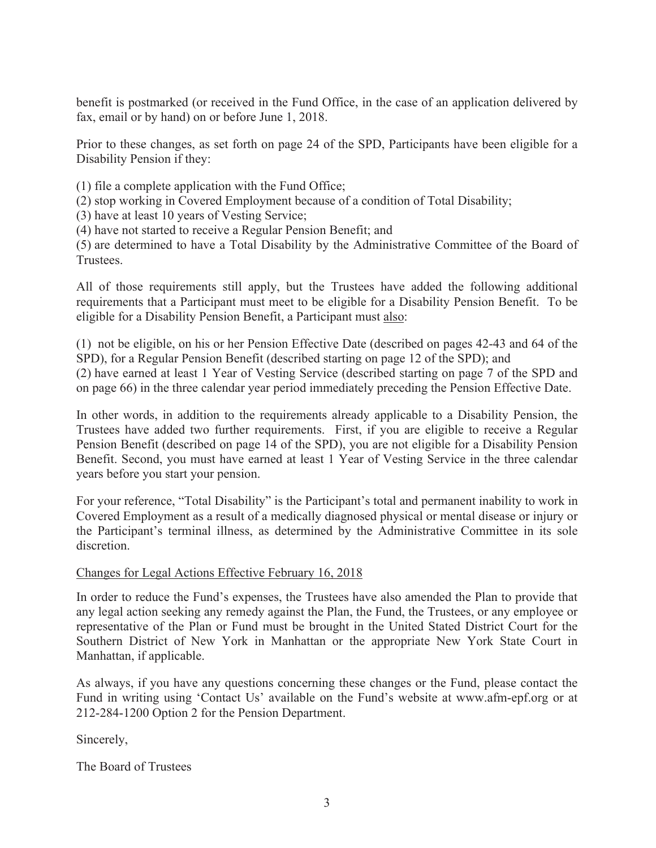benefit is postmarked (or received in the Fund Office, in the case of an application delivered by fax, email or by hand) on or before June 1, 2018.

Prior to these changes, as set forth on page 24 of the SPD, Participants have been eligible for a Disability Pension if they:

(1) file a complete application with the Fund Office;

(2) stop working in Covered Employment because of a condition of Total Disability;

(3) have at least 10 years of Vesting Service;

(4) have not started to receive a Regular Pension Benefit; and

(5) are determined to have a Total Disability by the Administrative Committee of the Board of Trustees.

All of those requirements still apply, but the Trustees have added the following additional requirements that a Participant must meet to be eligible for a Disability Pension Benefit. To be eligible for a Disability Pension Benefit, a Participant must also:

(1) not be eligible, on his or her Pension Effective Date (described on pages 42-43 and 64 of the SPD), for a Regular Pension Benefit (described starting on page 12 of the SPD); and (2) have earned at least 1 Year of Vesting Service (described starting on page 7 of the SPD and on page 66) in the three calendar year period immediately preceding the Pension Effective Date.

In other words, in addition to the requirements already applicable to a Disability Pension, the Trustees have added two further requirements. First, if you are eligible to receive a Regular Pension Benefit (described on page 14 of the SPD), you are not eligible for a Disability Pension Benefit. Second, you must have earned at least 1 Year of Vesting Service in the three calendar years before you start your pension.

For your reference, "Total Disability" is the Participant's total and permanent inability to work in Covered Employment as a result of a medically diagnosed physical or mental disease or injury or the Participant's terminal illness, as determined by the Administrative Committee in its sole discretion.

## Changes for Legal Actions Effective February 16, 2018

In order to reduce the Fund's expenses, the Trustees have also amended the Plan to provide that any legal action seeking any remedy against the Plan, the Fund, the Trustees, or any employee or representative of the Plan or Fund must be brought in the United Stated District Court for the Southern District of New York in Manhattan or the appropriate New York State Court in Manhattan, if applicable.

As always, if you have any questions concerning these changes or the Fund, please contact the Fund in writing using 'Contact Us' available on the Fund's website at www.afm-epf.org or at 212-284-1200 Option 2 for the Pension Department.

Sincerely,

The Board of Trustees